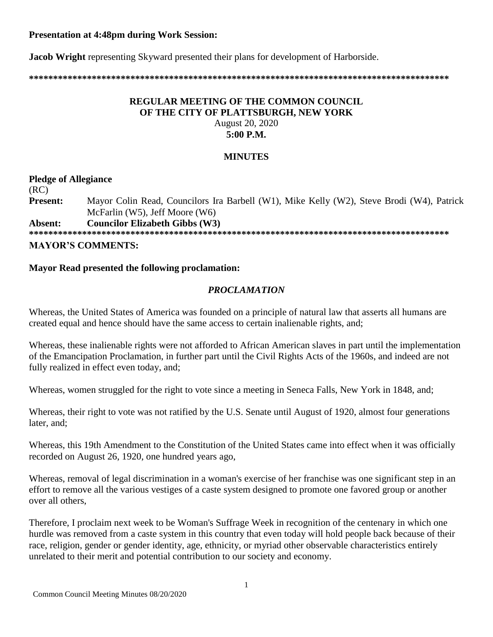# **Presentation at 4:48pm during Work Session:**

**Jacob Wright** representing Skyward presented their plans for development of Harborside.

**\*\*\*\*\*\*\*\*\*\*\*\*\*\*\*\*\*\*\*\*\*\*\*\*\*\*\*\*\*\*\*\*\*\*\*\*\*\*\*\*\*\*\*\*\*\*\*\*\*\*\*\*\*\*\*\*\*\*\*\*\*\*\*\*\*\*\*\*\*\*\*\*\*\*\*\*\*\*\*\*\*\*\*\*\*\*\***

# **REGULAR MEETING OF THE COMMON COUNCIL OF THE CITY OF PLATTSBURGH, NEW YORK** August 20, 2020 **5:00 P.M.**

### **MINUTES**

**Pledge of Allegiance** (RC) **Present:** Mayor Colin Read, Councilors Ira Barbell (W1), Mike Kelly (W2), Steve Brodi (W4), Patrick McFarlin (W5), Jeff Moore (W6)

**Absent: Councilor Elizabeth Gibbs (W3)**

**\*\*\*\*\*\*\*\*\*\*\*\*\*\*\*\*\*\*\*\*\*\*\*\*\*\*\*\*\*\*\*\*\*\*\*\*\*\*\*\*\*\*\*\*\*\*\*\*\*\*\*\*\*\*\*\*\*\*\*\*\*\*\*\*\*\*\*\*\*\*\*\*\*\*\*\*\*\*\*\*\*\*\*\*\*\*\* MAYOR'S COMMENTS:**

# **Mayor Read presented the following proclamation:**

# *PROCLAMATION*

Whereas, the United States of America was founded on a principle of natural law that asserts all humans are created equal and hence should have the same access to certain inalienable rights, and;

Whereas, these inalienable rights were not afforded to African American slaves in part until the implementation of the Emancipation Proclamation, in further part until the Civil Rights Acts of the 1960s, and indeed are not fully realized in effect even today, and;

Whereas, women struggled for the right to vote since a meeting in Seneca Falls, New York in 1848, and;

Whereas, their right to vote was not ratified by the U.S. Senate until August of 1920, almost four generations later, and;

Whereas, this 19th Amendment to the Constitution of the United States came into effect when it was officially recorded on August 26, 1920, one hundred years ago,

Whereas, removal of legal discrimination in a woman's exercise of her franchise was one significant step in an effort to remove all the various vestiges of a caste system designed to promote one favored group or another over all others,

Therefore, I proclaim next week to be Woman's Suffrage Week in recognition of the centenary in which one hurdle was removed from a caste system in this country that even today will hold people back because of their race, religion, gender or gender identity, age, ethnicity, or myriad other observable characteristics entirely unrelated to their merit and potential contribution to our society and economy.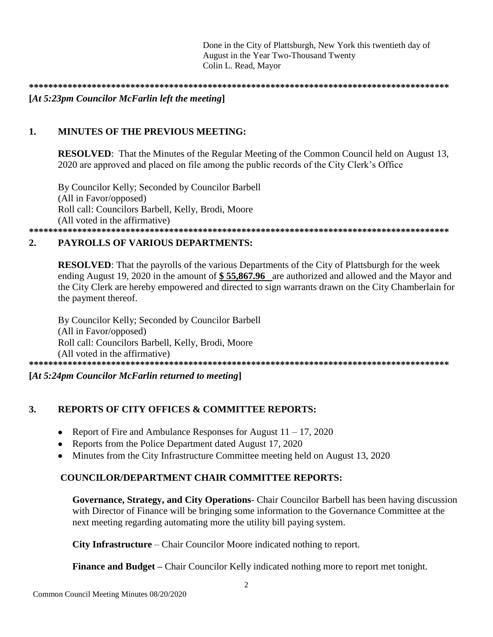Done in the City of Plattsburgh, New York this twentieth day of August in the Year Two-Thousand Twenty Colin L. Read, Mayor

### $[At 5:23pm$  Councilor McFarlin left the meeting

#### $\mathbf{1}$ . **MINUTES OF THE PREVIOUS MEETING:**

**RESOLVED:** That the Minutes of the Regular Meeting of the Common Council held on August 13, 2020 are approved and placed on file among the public records of the City Clerk's Office

By Councilor Kelly; Seconded by Councilor Barbell (All in Favor/opposed) Roll call: Councilors Barbell, Kelly, Brodi, Moore (All voted in the affirmative)

### 

#### **PAYROLLS OF VARIOUS DEPARTMENTS:**  $2.$

**RESOLVED:** That the payrolls of the various Departments of the City of Plattsburgh for the week ending August 19, 2020 in the amount of  $$55,867.96$  are authorized and allowed and the Mayor and the City Clerk are hereby empowered and directed to sign warrants drawn on the City Chamberlain for the payment thereof.

By Councilor Kelly; Seconded by Councilor Barbell (All in Favor/opposed) Roll call: Councilors Barbell, Kelly, Brodi, Moore (All voted in the affirmative) 

 $[At 5:24pm$  Councilor McFarlin returned to meeting]

#### $3.$ **REPORTS OF CITY OFFICES & COMMITTEE REPORTS:**

- Report of Fire and Ambulance Responses for August  $11 17$ , 2020  $\bullet$
- Reports from the Police Department dated August 17, 2020
- Minutes from the City Infrastructure Committee meeting held on August 13, 2020

# **COUNCILOR/DEPARTMENT CHAIR COMMITTEE REPORTS:**

Governance, Strategy, and City Operations- Chair Councilor Barbell has been having discussion with Director of Finance will be bringing some information to the Governance Committee at the next meeting regarding automating more the utility bill paying system.

**City Infrastructure** – Chair Councilor Moore indicated nothing to report.

**Finance and Budget** – Chair Councilor Kelly indicated nothing more to report met tonight.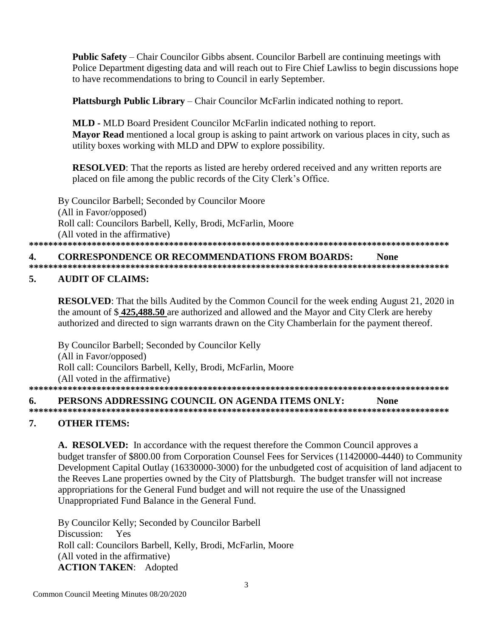**Public Safety** – Chair Councilor Gibbs absent. Councilor Barbell are continuing meetings with Police Department digesting data and will reach out to Fire Chief Lawliss to begin discussions hope to have recommendations to bring to Council in early September.

Plattsburgh Public Library – Chair Councilor McFarlin indicated nothing to report.

**MLD - MLD Board President Councilor McFarlin indicated nothing to report.** Mayor Read mentioned a local group is asking to paint artwork on various places in city, such as utility boxes working with MLD and DPW to explore possibility.

**RESOLVED:** That the reports as listed are hereby ordered received and any written reports are placed on file among the public records of the City Clerk's Office.

By Councilor Barbell; Seconded by Councilor Moore (All in Favor/opposed) Roll call: Councilors Barbell, Kelly, Brodi, McFarlin, Moore (All voted in the affirmative) 

#### **CORRESPONDENCE OR RECOMMENDATIONS FROM BOARDS:**  $\boldsymbol{4}$ . **None**

#### **AUDIT OF CLAIMS:**  $\sim$

**RESOLVED:** That the bills Audited by the Common Council for the week ending August 21, 2020 in the amount of \$425,488.50 are authorized and allowed and the Mayor and City Clerk are hereby authorized and directed to sign warrants drawn on the City Chamberlain for the payment thereof.

By Councilor Barbell; Seconded by Councilor Kelly (All in Favor/opposed) Roll call: Councilors Barbell, Kelly, Brodi, McFarlin, Moore (All voted in the affirmative) 

#### 6. PERSONS ADDRESSING COUNCIL ON AGENDA ITEMS ONLY: **None**

#### 7. **OTHER ITEMS:**

A. RESOLVED: In accordance with the request therefore the Common Council approves a budget transfer of \$800.00 from Corporation Counsel Fees for Services (11420000-4440) to Community Development Capital Outlay (16330000-3000) for the unbudgeted cost of acquisition of land adjacent to the Reeves Lane properties owned by the City of Plattsburgh. The budget transfer will not increase appropriations for the General Fund budget and will not require the use of the Unassigned Unappropriated Fund Balance in the General Fund.

By Councilor Kelly; Seconded by Councilor Barbell Discussion: Yes Roll call: Councilors Barbell, Kelly, Brodi, McFarlin, Moore (All voted in the affirmative) **ACTION TAKEN:** Adopted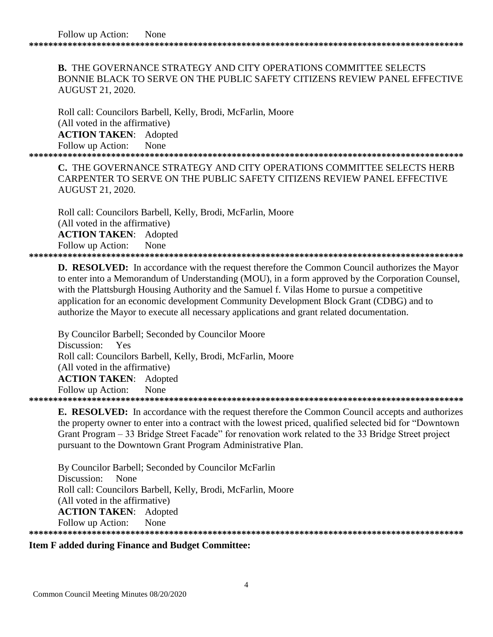**B.** THE GOVERNANCE STRATEGY AND CITY OPERATIONS COMMITTEE SELECTS BONNIE BLACK TO SERVE ON THE PUBLIC SAFETY CITIZENS REVIEW PANEL EFFECTIVE AUGUST 21, 2020.

Roll call: Councilors Barbell, Kelly, Brodi, McFarlin, Moore (All voted in the affirmative) **ACTION TAKEN**: Adopted Follow up Action: None

**\*\*\*\*\*\*\*\*\*\*\*\*\*\*\*\*\*\*\*\*\*\*\*\*\*\*\*\*\*\*\*\*\*\*\*\*\*\*\*\*\*\*\*\*\*\*\*\*\*\*\*\*\*\*\*\*\*\*\*\*\*\*\*\*\*\*\*\*\*\*\*\*\*\*\*\*\*\*\*\*\*\*\*\*\*\*\*\*\*\***

**C.** THE GOVERNANCE STRATEGY AND CITY OPERATIONS COMMITTEE SELECTS HERB CARPENTER TO SERVE ON THE PUBLIC SAFETY CITIZENS REVIEW PANEL EFFECTIVE AUGUST 21, 2020.

 Roll call: Councilors Barbell, Kelly, Brodi, McFarlin, Moore (All voted in the affirmative) **ACTION TAKEN**: Adopted Follow up Action: None **\*\*\*\*\*\*\*\*\*\*\*\*\*\*\*\*\*\*\*\*\*\*\*\*\*\*\*\*\*\*\*\*\*\*\*\*\*\*\*\*\*\*\*\*\*\*\*\*\*\*\*\*\*\*\*\*\*\*\*\*\*\*\*\*\*\*\*\*\*\*\*\*\*\*\*\*\*\*\*\*\*\*\*\*\*\*\*\*\*\***

**D. RESOLVED:** In accordance with the request therefore the Common Council authorizes the Mayor to enter into a Memorandum of Understanding (MOU), in a form approved by the Corporation Counsel, with the Plattsburgh Housing Authority and the Samuel f. Vilas Home to pursue a competitive application for an economic development Community Development Block Grant (CDBG) and to authorize the Mayor to execute all necessary applications and grant related documentation.

By Councilor Barbell; Seconded by Councilor Moore Discussion: Yes Roll call: Councilors Barbell, Kelly, Brodi, McFarlin, Moore (All voted in the affirmative) **ACTION TAKEN**: Adopted Follow up Action: None **\*\*\*\*\*\*\*\*\*\*\*\*\*\*\*\*\*\*\*\*\*\*\*\*\*\*\*\*\*\*\*\*\*\*\*\*\*\*\*\*\*\*\*\*\*\*\*\*\*\*\*\*\*\*\*\*\*\*\*\*\*\*\*\*\*\*\*\*\*\*\*\*\*\*\*\*\*\*\*\*\*\*\*\*\*\*\*\*\*\***

**E. RESOLVED:** In accordance with the request therefore the Common Council accepts and authorizes the property owner to enter into a contract with the lowest priced, qualified selected bid for "Downtown Grant Program – 33 Bridge Street Facade" for renovation work related to the 33 Bridge Street project pursuant to the Downtown Grant Program Administrative Plan.

By Councilor Barbell; Seconded by Councilor McFarlin Discussion: None Roll call: Councilors Barbell, Kelly, Brodi, McFarlin, Moore (All voted in the affirmative) **ACTION TAKEN**: Adopted Follow up Action: None **\*\*\*\*\*\*\*\*\*\*\*\*\*\*\*\*\*\*\*\*\*\*\*\*\*\*\*\*\*\*\*\*\*\*\*\*\*\*\*\*\*\*\*\*\*\*\*\*\*\*\*\*\*\*\*\*\*\*\*\*\*\*\*\*\*\*\*\*\*\*\*\*\*\*\*\*\*\*\*\*\*\*\*\*\*\*\*\*\*\***

### **Item F added during Finance and Budget Committee:**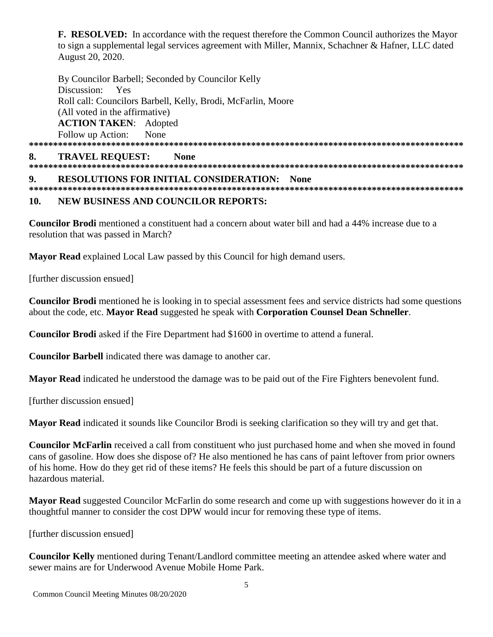**F. RESOLVED:** In accordance with the request therefore the Common Council authorizes the Mayor to sign a supplemental legal services agreement with Miller, Mannix, Schachner & Hafner, LLC dated August 20, 2020.

By Councilor Barbell; Seconded by Councilor Kelly Discussion: Yes Roll call: Councilors Barbell, Kelly, Brodi, McFarlin, Moore (All voted in the affirmative) **ACTION TAKEN:** Adopted Follow up Action: None 

### **TRAVEL REQUEST:** 8. **None RESOLUTIONS FOR INITIAL CONSIDERATION: None**  $9<sub>l</sub>$

#### **NEW BUSINESS AND COUNCILOR REPORTS:** 10.

**Councilor Brodi** mentioned a constituent had a concern about water bill and had a 44% increase due to a resolution that was passed in March?

**Mayor Read** explained Local Law passed by this Council for high demand users.

[further discussion ensued]

**Councilor Brodi** mentioned he is looking in to special assessment fees and service districts had some questions about the code, etc. Mayor Read suggested he speak with Corporation Counsel Dean Schneller.

**Councilor Brodi** asked if the Fire Department had \$1600 in overtime to attend a funeral.

**Councilor Barbell** indicated there was damage to another car.

Mayor Read indicated he understood the damage was to be paid out of the Fire Fighters benevolent fund.

[further discussion ensued]

Mayor Read indicated it sounds like Councilor Brodi is seeking clarification so they will try and get that.

**Councilor McFarlin** received a call from constituent who just purchased home and when she moved in found cans of gasoline. How does she dispose of? He also mentioned he has cans of paint leftover from prior owners of his home. How do they get rid of these items? He feels this should be part of a future discussion on hazardous material

**Mayor Read** suggested Councilor McFarlin do some research and come up with suggestions however do it in a thoughtful manner to consider the cost DPW would incur for removing these type of items.

[further discussion ensued]

Councilor Kelly mentioned during Tenant/Landlord committee meeting an attendee asked where water and sewer mains are for Underwood Avenue Mobile Home Park.